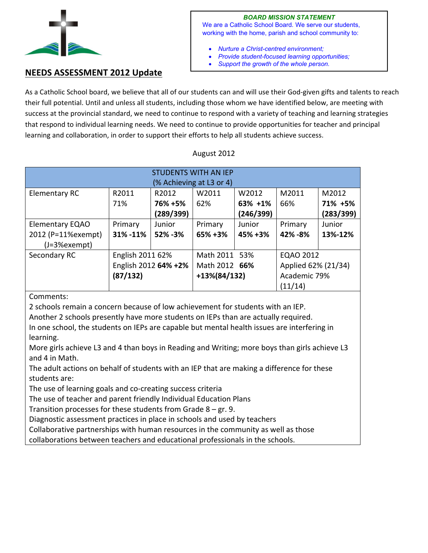

*BOARD MISSION STATEMENT*  We are a Catholic School Board. We serve our students,

working with the home, parish and school community to:

- *Nurture a Christ-centred environment;*
- *Provide student-focused learning opportunities;*
- *Support the growth of the whole person.*

## **NEEDS ASSESSMENT 2012 Update**

As a Catholic School board, we believe that all of our students can and will use their God-given gifts and talents to reach their full potential. Until and unless all students, including those whom we have identified below, are meeting with success at the provincial standard, we need to continue to respond with a variety of teaching and learning strategies that respond to individual learning needs. We need to continue to provide opportunities for teacher and principal learning and collaboration, in order to support their efforts to help all students achieve success.

## August 2012

| <b>STUDENTS WITH AN IEP</b><br>(% Achieving at L3 or 4) |                      |           |                 |           |                     |           |
|---------------------------------------------------------|----------------------|-----------|-----------------|-----------|---------------------|-----------|
|                                                         |                      |           |                 |           |                     |           |
| Elementary RC                                           | R2011                | R2012     | W2011           | W2012     | M2011               | M2012     |
|                                                         | 71%                  | 76% +5%   | 62%             | 63% +1%   | 66%                 | 71% +5%   |
|                                                         |                      | (289/399) |                 | (246/399) |                     | (283/399) |
| <b>Elementary EQAO</b>                                  | Primary              | Junior    | Primary         | Junior    | Primary             | Junior    |
| 2012 (P=11%exempt)                                      | 31% - 11%            | 52% - 3%  | 65%+3%          | 45% +3%   | 42% - 8%            | 13%-12%   |
| $(J=3%exempt)$                                          |                      |           |                 |           |                     |           |
| Secondary RC                                            | English 2011 62%     |           | Math 2011 53%   |           | EQAO 2012           |           |
|                                                         | English 2012 64% +2% |           | Math 2012 66%   |           | Applied 62% (21/34) |           |
|                                                         | (87/132)             |           | $+13\%(84/132)$ |           | Academic 79%        |           |
|                                                         |                      |           |                 |           | (11/14)             |           |

Comments:

2 schools remain a concern because of low achievement for students with an IEP.

Another 2 schools presently have more students on IEPs than are actually required.

In one school, the students on IEPs are capable but mental health issues are interfering in learning.

More girls achieve L3 and 4 than boys in Reading and Writing; more boys than girls achieve L3 and 4 in Math.

The adult actions on behalf of students with an IEP that are making a difference for these students are:

The use of learning goals and co-creating success criteria

The use of teacher and parent friendly Individual Education Plans

Transition processes for these students from Grade 8 – gr. 9.

Diagnostic assessment practices in place in schools and used by teachers

Collaborative partnerships with human resources in the community as well as those

collaborations between teachers and educational professionals in the schools.